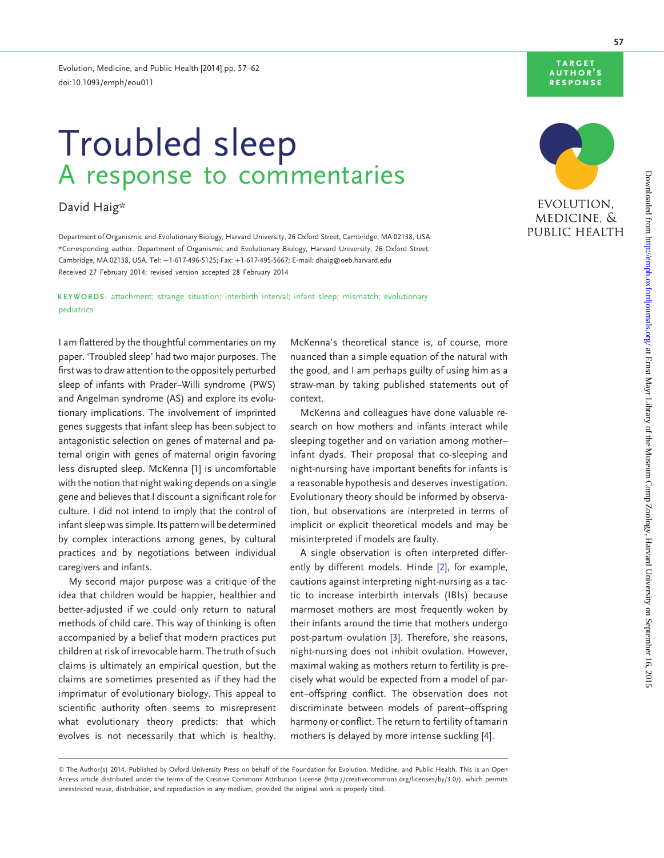Evolution, Medicine, and Public Health [2014] pp. 57–62 doi:10.1093/emph/eou011

# Troubled sleep A response to commentaries

# David Haig\*

Department of Organismic and Evolutionary Biology, Harvard University, 26 Oxford Street, Cambridge, MA 02138, USA \*Corresponding author. Department of Organismic and Evolutionary Biology, Harvard University, 26 Oxford Street, Cambridge, MA 02138, USA. Tel: +1-617-496-5125; Fax: +1-617-495-5667; E-mail: dhaig@oeb.harvard.edu Received 27 February 2014; revised version accepted 28 February 2014

KEYWORDS: attachment; strange situation; interbirth interval; infant sleep; mismatch; evolutionary pediatrics

I am flattered by the thoughtful commentaries on my paper. 'Troubled sleep' had two major purposes. The first was to draw attention to the oppositely perturbed sleep of infants with Prader–Willi syndrome (PWS) and Angelman syndrome (AS) and explore its evolutionary implications. The involvement of imprinted genes suggests that infant sleep has been subject to antagonistic selection on genes of maternal and paternal origin with genes of maternal origin favoring less disrupted sleep. McKenna [[1](#page-4-0)] is uncomfortable with the notion that night waking depends on a single gene and believes that I discount a significant role for culture. I did not intend to imply that the control of infant sleep was simple. Its pattern will be determined by complex interactions among genes, by cultural practices and by negotiations between individual caregivers and infants.

My second major purpose was a critique of the idea that children would be happier, healthier and better-adjusted if we could only return to natural methods of child care. This way of thinking is often accompanied by a belief that modern practices put children at risk of irrevocable harm. The truth of such claims is ultimately an empirical question, but the claims are sometimes presented as if they had the imprimatur of evolutionary biology. This appeal to scientific authority often seems to misrepresent what evolutionary theory predicts: that which evolves is not necessarily that which is healthy.

McKenna's theoretical stance is, of course, more nuanced than a simple equation of the natural with the good, and I am perhaps guilty of using him as a straw-man by taking published statements out of context.

McKenna and colleagues have done valuable research on how mothers and infants interact while sleeping together and on variation among mother– infant dyads. Their proposal that co-sleeping and night-nursing have important benefits for infants is a reasonable hypothesis and deserves investigation. Evolutionary theory should be informed by observation, but observations are interpreted in terms of implicit or explicit theoretical models and may be misinterpreted if models are faulty.

A single observation is often interpreted differently by different models. Hinde [[2](#page-4-0)], for example, cautions against interpreting night-nursing as a tactic to increase interbirth intervals (IBIs) because marmoset mothers are most frequently woken by their infants around the time that mothers undergo post-partum ovulation [\[3](#page-4-0)]. Therefore, she reasons, night-nursing does not inhibit ovulation. However, maximal waking as mothers return to fertility is precisely what would be expected from a model of parent–offspring conflict. The observation does not discriminate between models of parent–offspring harmony or conflict. The return to fertility of tamarin mothers is delayed by more intense suckling [[4](#page-4-0)].



**TARGET** author's

PUBLIC HEALTH

<sup>©</sup> The Author(s) 2014. Published by Oxford University Press on behalf of the Foundation for Evolution, Medicine, and Public Health. This is an Open Access article distributed under the terms of the Creative Commons Attribution License (http://creativecommons.org/licenses/by/3.0/), which permits unrestricted reuse, distribution, and reproduction in any medium, provided the original work is properly cited.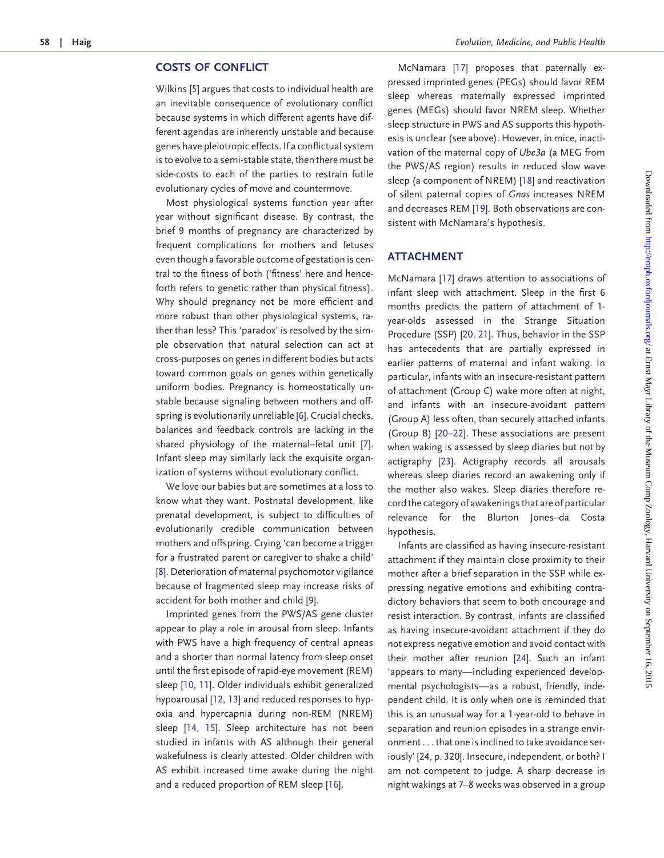## COSTS OF CONFLICT

Wilkins [\[5\]](#page-4-0) argues that costs to individual health are an inevitable consequence of evolutionary conflict because systems in which different agents have different agendas are inherently unstable and because genes have pleiotropic effects. If a conflictual system is to evolve to a semi-stable state, then there must be side-costs to each of the parties to restrain futile evolutionary cycles of move and countermove.

Most physiological systems function year after year without significant disease. By contrast, the brief 9 months of pregnancy are characterized by frequent complications for mothers and fetuses even though a favorable outcome of gestation is central to the fitness of both ('fitness' here and henceforth refers to genetic rather than physical fitness). Why should pregnancy not be more efficient and more robust than other physiological systems, rather than less? This 'paradox' is resolved by the simple observation that natural selection can act at cross-purposes on genes in different bodies but acts toward common goals on genes within genetically uniform bodies. Pregnancy is homeostatically unstable because signaling between mothers and offspring is evolutionarily unreliable [[6](#page-4-0)]. Crucial checks, balances and feedback controls are lacking in the shared physiology of the maternal–fetal unit [\[7\]](#page-4-0). Infant sleep may similarly lack the exquisite organization of systems without evolutionary conflict.

We love our babies but are sometimes at a loss to know what they want. Postnatal development, like prenatal development, is subject to difficulties of evolutionarily credible communication between mothers and offspring. Crying 'can become a trigger for a frustrated parent or caregiver to shake a child' [\[8\]](#page-4-0). Deterioration of maternal psychomotor vigilance because of fragmented sleep may increase risks of accident for both mother and child [[9](#page-4-0)].

Imprinted genes from the PWS/AS gene cluster appear to play a role in arousal from sleep. Infants with PWS have a high frequency of central apneas and a shorter than normal latency from sleep onset until the first episode of rapid-eye movement (REM) sleep [\[10,](#page-4-0) [11](#page-4-0)]. Older individuals exhibit generalized hypoarousal [\[12,](#page-4-0) [13\]](#page-5-0) and reduced responses to hypoxia and hypercapnia during non-REM (NREM) sleep [\[14](#page-5-0), [15\]](#page-5-0). Sleep architecture has not been studied in infants with AS although their general wakefulness is clearly attested. Older children with AS exhibit increased time awake during the night and a reduced proportion of REM sleep [[16](#page-5-0)].

McNamara [\[17\]](#page-5-0) proposes that paternally expressed imprinted genes (PEGs) should favor REM sleep whereas maternally expressed imprinted genes (MEGs) should favor NREM sleep. Whether sleep structure in PWS and AS supports this hypothesis is unclear (see above). However, in mice, inactivation of the maternal copy of Ube3a (a MEG from the PWS/AS region) results in reduced slow wave sleep (a component of NREM) [[18](#page-5-0)] and reactivation of silent paternal copies of Gnas increases NREM and decreases REM [\[19\]](#page-5-0). Both observations are consistent with McNamara's hypothesis.

#### ATTACHMENT

McNamara [[17](#page-5-0)] draws attention to associations of infant sleep with attachment. Sleep in the first 6 months predicts the pattern of attachment of 1 year-olds assessed in the Strange Situation Procedure (SSP) [[20](#page-5-0), [21\]](#page-5-0). Thus, behavior in the SSP has antecedents that are partially expressed in earlier patterns of maternal and infant waking. In particular, infants with an insecure-resistant pattern of attachment (Group C) wake more often at night, and infants with an insecure-avoidant pattern (Group A) less often, than securely attached infants (Group B) [[20–22\]](#page-5-0). These associations are present when waking is assessed by sleep diaries but not by actigraphy [[23](#page-5-0)]. Actigraphy records all arousals whereas sleep diaries record an awakening only if the mother also wakes. Sleep diaries therefore record the category of awakenings that are of particular relevance for the Blurton Jones–da Costa hypothesis.

Infants are classified as having insecure-resistant attachment if they maintain close proximity to their mother after a brief separation in the SSP while expressing negative emotions and exhibiting contradictory behaviors that seem to both encourage and resist interaction. By contrast, infants are classified as having insecure-avoidant attachment if they do not express negative emotion and avoid contact with their mother after reunion [\[24\]](#page-5-0). Such an infant 'appears to many—including experienced developmental psychologists—as a robust, friendly, independent child. It is only when one is reminded that this is an unusual way for a 1-year-old to behave in separation and reunion episodes in a strange environment ... that one is inclined to take avoidance seriously' [24, p. 320]. Insecure, independent, or both? I am not competent to judge. A sharp decrease in night wakings at 7–8 weeks was observed in a group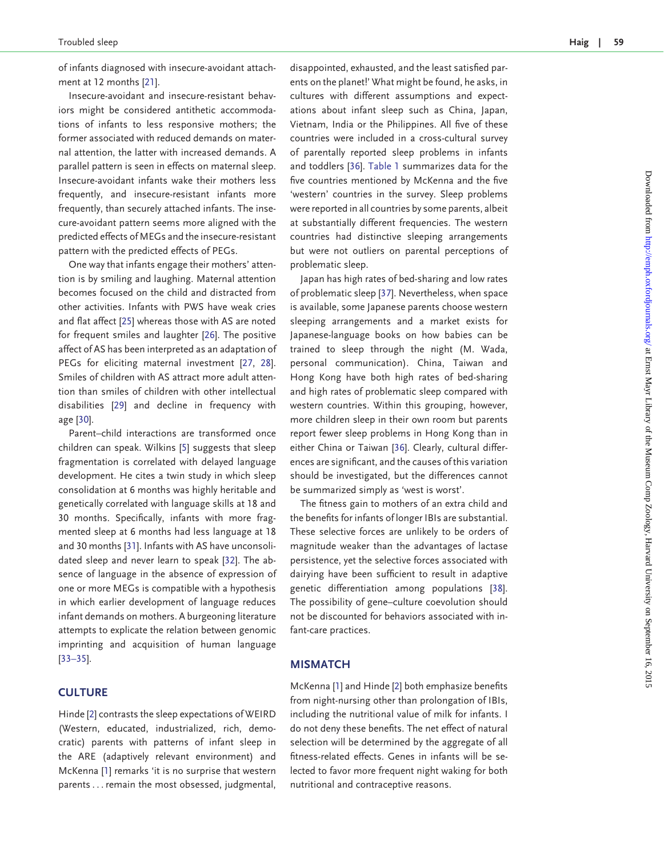of infants diagnosed with insecure-avoidant attachment at 12 months [[21\]](#page-5-0).

Insecure-avoidant and insecure-resistant behaviors might be considered antithetic accommodations of infants to less responsive mothers; the former associated with reduced demands on maternal attention, the latter with increased demands. A parallel pattern is seen in effects on maternal sleep. Insecure-avoidant infants wake their mothers less frequently, and insecure-resistant infants more frequently, than securely attached infants. The insecure-avoidant pattern seems more aligned with the predicted effects of MEGs and the insecure-resistant pattern with the predicted effects of PEGs.

One way that infants engage their mothers' attention is by smiling and laughing. Maternal attention becomes focused on the child and distracted from other activities. Infants with PWS have weak cries and flat affect [\[25\]](#page-5-0) whereas those with AS are noted for frequent smiles and laughter [[26](#page-5-0)]. The positive affect of AS has been interpreted as an adaptation of PEGs for eliciting maternal investment [[27](#page-5-0), [28\]](#page-5-0). Smiles of children with AS attract more adult attention than smiles of children with other intellectual disabilities [\[29\]](#page-5-0) and decline in frequency with age [\[30\]](#page-5-0).

Parent–child interactions are transformed once children can speak. Wilkins [[5](#page-4-0)] suggests that sleep fragmentation is correlated with delayed language development. He cites a twin study in which sleep consolidation at 6 months was highly heritable and genetically correlated with language skills at 18 and 30 months. Specifically, infants with more fragmented sleep at 6 months had less language at 18 and 30 months [[31](#page-5-0)]. Infants with AS have unconsolidated sleep and never learn to speak [\[32\]](#page-5-0). The absence of language in the absence of expression of one or more MEGs is compatible with a hypothesis in which earlier development of language reduces infant demands on mothers. A burgeoning literature attempts to explicate the relation between genomic imprinting and acquisition of human language [\[33–35\]](#page-5-0).

### **CULTURE**

Hinde [\[2](#page-4-0)] contrasts the sleep expectations of WEIRD (Western, educated, industrialized, rich, democratic) parents with patterns of infant sleep in the ARE (adaptively relevant environment) and McKenna [[1\]](#page-4-0) remarks 'it is no surprise that western parents ... remain the most obsessed, judgmental, disappointed, exhausted, and the least satisfied parents on the planet!' What might be found, he asks, in cultures with different assumptions and expectations about infant sleep such as China, Japan, Vietnam, India or the Philippines. All five of these countries were included in a cross-cultural survey of parentally reported sleep problems in infants and toddlers [[36](#page-5-0)]. [Table 1](#page-3-0) summarizes data for the five countries mentioned by McKenna and the five 'western' countries in the survey. Sleep problems were reported in all countries by some parents, albeit at substantially different frequencies. The western countries had distinctive sleeping arrangements but were not outliers on parental perceptions of problematic sleep.

Japan has high rates of bed-sharing and low rates of problematic sleep [\[37\]](#page-5-0). Nevertheless, when space is available, some Japanese parents choose western sleeping arrangements and a market exists for Japanese-language books on how babies can be trained to sleep through the night (M. Wada, personal communication). China, Taiwan and Hong Kong have both high rates of bed-sharing and high rates of problematic sleep compared with western countries. Within this grouping, however, more children sleep in their own room but parents report fewer sleep problems in Hong Kong than in either China or Taiwan [[36](#page-5-0)]. Clearly, cultural differences are significant, and the causes of this variation should be investigated, but the differences cannot be summarized simply as 'west is worst'.

The fitness gain to mothers of an extra child and the benefits for infants of longer IBIs are substantial. These selective forces are unlikely to be orders of magnitude weaker than the advantages of lactase persistence, yet the selective forces associated with dairying have been sufficient to result in adaptive genetic differentiation among populations [\[38\]](#page-5-0). The possibility of gene–culture coevolution should not be discounted for behaviors associated with infant-care practices.

#### **MISMATCH**

McKenna [\[1](#page-4-0)] and Hinde [[2\]](#page-4-0) both emphasize benefits from night-nursing other than prolongation of IBIs, including the nutritional value of milk for infants. I do not deny these benefits. The net effect of natural selection will be determined by the aggregate of all fitness-related effects. Genes in infants will be selected to favor more frequent night waking for both nutritional and contraceptive reasons.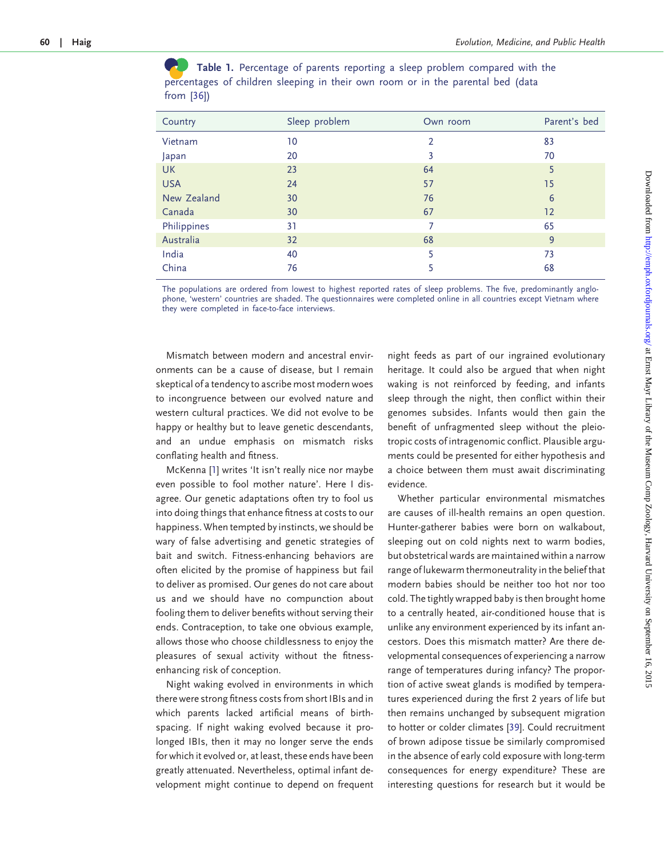| Country     | Sleep problem | Own room | Parent's bed    |
|-------------|---------------|----------|-----------------|
| Vietnam     | 10            | I.       | 83              |
| Japan       | 20            | 3        | 70              |
| <b>UK</b>   | 23            | 64       | 5               |
| <b>USA</b>  | 24            | 57       | 15              |
| New Zealand | 30            | 76       | $6\phantom{1}6$ |
| Canada      | 30            | 67       | 12              |
| Philippines | 31            | 7        | 65              |
| Australia   | 32            | 68       | 9               |
| India       | 40            | 5        | 73              |
| China       | 76            | 5        | 68              |

<span id="page-3-0"></span>Table 1. Percentage of parents reporting a sleep problem compared with the percentages of children sleeping in their own room or in the parental bed (data from [\[36](#page-5-0)])

The populations are ordered from lowest to highest reported rates of sleep problems. The five, predominantly anglophone, 'western' countries are shaded. The questionnaires were completed online in all countries except Vietnam where they were completed in face-to-face interviews.

Mismatch between modern and ancestral environments can be a cause of disease, but I remain skeptical of a tendency to ascribe most modern woes to incongruence between our evolved nature and western cultural practices. We did not evolve to be happy or healthy but to leave genetic descendants, and an undue emphasis on mismatch risks conflating health and fitness.

McKenna [\[1\]](#page-4-0) writes 'It isn't really nice nor maybe even possible to fool mother nature'. Here I disagree. Our genetic adaptations often try to fool us into doing things that enhance fitness at costs to our happiness. When tempted by instincts, we should be wary of false advertising and genetic strategies of bait and switch. Fitness-enhancing behaviors are often elicited by the promise of happiness but fail to deliver as promised. Our genes do not care about us and we should have no compunction about fooling them to deliver benefits without serving their ends. Contraception, to take one obvious example, allows those who choose childlessness to enjoy the pleasures of sexual activity without the fitnessenhancing risk of conception.

Night waking evolved in environments in which there were strong fitness costs from short IBIs and in which parents lacked artificial means of birthspacing. If night waking evolved because it prolonged IBIs, then it may no longer serve the ends for which it evolved or, at least, these ends have been greatly attenuated. Nevertheless, optimal infant development might continue to depend on frequent

night feeds as part of our ingrained evolutionary heritage. It could also be argued that when night waking is not reinforced by feeding, and infants sleep through the night, then conflict within their genomes subsides. Infants would then gain the benefit of unfragmented sleep without the pleiotropic costs of intragenomic conflict. Plausible arguments could be presented for either hypothesis and a choice between them must await discriminating evidence.

Whether particular environmental mismatches are causes of ill-health remains an open question. Hunter-gatherer babies were born on walkabout, sleeping out on cold nights next to warm bodies, but obstetrical wards are maintained within a narrow range of lukewarm thermoneutrality in the belief that modern babies should be neither too hot nor too cold. The tightly wrapped baby is then brought home to a centrally heated, air-conditioned house that is unlike any environment experienced by its infant ancestors. Does this mismatch matter? Are there developmental consequences of experiencing a narrow range of temperatures during infancy? The proportion of active sweat glands is modified by temperatures experienced during the first 2 years of life but then remains unchanged by subsequent migration to hotter or colder climates [[39](#page-5-0)]. Could recruitment of brown adipose tissue be similarly compromised in the absence of early cold exposure with long-term consequences for energy expenditure? These are interesting questions for research but it would be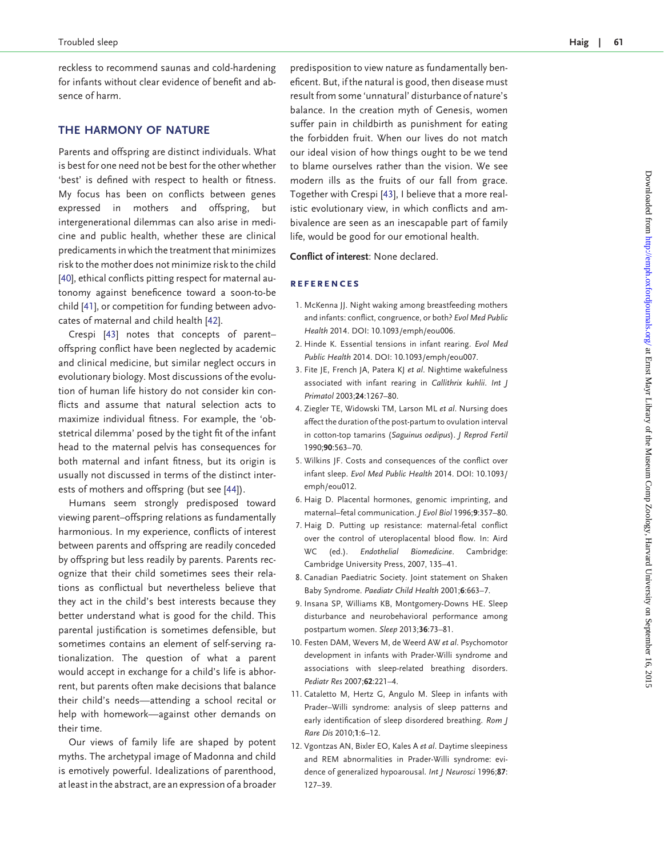<span id="page-4-0"></span>reckless to recommend saunas and cold-hardening for infants without clear evidence of benefit and absence of harm.

# THE HARMONY OF NATURE

Parents and offspring are distinct individuals. What is best for one need not be best for the other whether 'best' is defined with respect to health or fitness. My focus has been on conflicts between genes expressed in mothers and offspring, but intergenerational dilemmas can also arise in medicine and public health, whether these are clinical predicaments in which the treatment that minimizes risk to the mother does not minimize risk to the child [\[40\]](#page-5-0), ethical conflicts pitting respect for maternal autonomy against beneficence toward a soon-to-be child [\[41\]](#page-5-0), or competition for funding between advocates of maternal and child health [[42](#page-5-0)].

Crespi [[43](#page-5-0)] notes that concepts of parent– offspring conflict have been neglected by academic and clinical medicine, but similar neglect occurs in evolutionary biology. Most discussions of the evolution of human life history do not consider kin conflicts and assume that natural selection acts to maximize individual fitness. For example, the 'obstetrical dilemma' posed by the tight fit of the infant head to the maternal pelvis has consequences for both maternal and infant fitness, but its origin is usually not discussed in terms of the distinct interests of mothers and offspring (but see [[44](#page-5-0)]).

Humans seem strongly predisposed toward viewing parent–offspring relations as fundamentally harmonious. In my experience, conflicts of interest between parents and offspring are readily conceded by offspring but less readily by parents. Parents recognize that their child sometimes sees their relations as conflictual but nevertheless believe that they act in the child's best interests because they better understand what is good for the child. This parental justification is sometimes defensible, but sometimes contains an element of self-serving rationalization. The question of what a parent would accept in exchange for a child's life is abhorrent, but parents often make decisions that balance their child's needs—attending a school recital or help with homework—against other demands on their time.

Our views of family life are shaped by potent myths. The archetypal image of Madonna and child is emotively powerful. Idealizations of parenthood, at least in the abstract, are an expression of a broader predisposition to view nature as fundamentally beneficent. But, if the natural is good, then disease must result from some 'unnatural' disturbance of nature's balance. In the creation myth of Genesis, women suffer pain in childbirth as punishment for eating the forbidden fruit. When our lives do not match our ideal vision of how things ought to be we tend to blame ourselves rather than the vision. We see modern ills as the fruits of our fall from grace. Together with Crespi [\[43\]](#page-5-0), I believe that a more realistic evolutionary view, in which conflicts and ambivalence are seen as an inescapable part of family life, would be good for our emotional health.

Conflict of interest: None declared.

#### references

- 1. McKenna JJ. Night waking among breastfeeding mothers and infants: conflict, congruence, or both? Evol Med Public Health 2014. DOI: 10.1093/emph/eou006.
- 2. Hinde K. Essential tensions in infant rearing. Evol Med Public Health 2014. DOI: 10.1093/emph/eou007.
- 3. Fite JE, French JA, Patera KJ et al. Nightime wakefulness associated with infant rearing in Callithrix kuhlii. Int J Primatol 2003;24:1267–80.
- 4. Ziegler TE, Widowski TM, Larson ML et al. Nursing does affect the duration of the post-partum to ovulation interval in cotton-top tamarins (Saguinus oedipus). J Reprod Fertil 1990;90:563–70.
- 5. Wilkins JF. Costs and consequences of the conflict over infant sleep. Evol Med Public Health 2014. DOI: 10.1093/ emph/eou012.
- 6. Haig D. Placental hormones, genomic imprinting, and maternal–fetal communication. J Evol Biol 1996;9:357–80.
- 7. Haig D. Putting up resistance: maternal-fetal conflict over the control of uteroplacental blood flow. In: Aird WC (ed.). Endothelial Biomedicine. Cambridge: Cambridge University Press, 2007, 135–41.
- 8. Canadian Paediatric Society. Joint statement on Shaken Baby Syndrome. Paediatr Child Health 2001;6:663–7.
- 9. Insana SP, Williams KB, Montgomery-Downs HE. Sleep disturbance and neurobehavioral performance among postpartum women. Sleep 2013;36:73–81.
- 10. Festen DAM, Wevers M, de Weerd AW et al. Psychomotor development in infants with Prader-Willi syndrome and associations with sleep-related breathing disorders. Pediatr Res 2007;62:221–4.
- 11. Cataletto M, Hertz G, Angulo M. Sleep in infants with Prader–Willi syndrome: analysis of sleep patterns and early identification of sleep disordered breathing. Rom J Rare Dis 2010;1:6–12.
- 12. Vgontzas AN, Bixler EO, Kales A et al. Daytime sleepiness and REM abnormalities in Prader-Willi syndrome: evidence of generalized hypoarousal. Int J Neurosci 1996;87: 127–39.